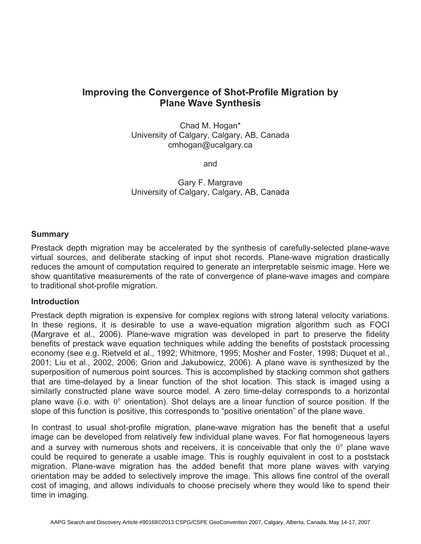# **Improving the Convergence of Shot-Profile Migration by Plane Wave Synthesis**

Chad M. Hogan\* University of Calgary, Calgary, AB, Canada cmhogan@ucalgary.ca

and

Gary F. Margrave University of Calgary, Calgary, AB, Canada

## **Summary**

Prestack depth migration may be accelerated by the synthesis of carefully-selected plane-wave virtual sources, and deliberate stacking of input shot records. Plane-wave migration drastically reduces the amount of computation required to generate an interpretable seismic image. Here we show quantitative measurements of the rate of convergence of plane-wave images and compare to traditional shot-profile migration.

### **Introduction**

Prestack depth migration is expensive for complex regions with strong lateral velocity variations. In these regions, it is desirable to use a wave-equation migration algorithm such as FOCI (Margrave et al., 2006). Plane-wave migration was developed in part to preserve the fidelity benefits of prestack wave equation techniques while adding the benefits of poststack processing economy (see e.g. Rietveld et al., 1992; Whitmore, 1995; Mosher and Foster, 1998; Duquet et al., 2001; Liu et al., 2002, 2006; Grion and Jakubowicz, 2006). A plane wave is synthesized by the superposition of numerous point sources. This is accomplished by stacking common shot gathers that are time-delayed by a linear function of the shot location. This stack is imaged using a similarly constructed plane wave source model. A zero time-delay corresponds to a horizontal plane wave (i.e. with  $0^{\circ}$  orientation). Shot delays are a linear function of source position. If the slope of this function is positive, this corresponds to "positive orientation" of the plane wave.

In contrast to usual shot-profile migration, plane-wave migration has the benefit that a useful image can be developed from relatively few individual plane waves. For flat homogeneous layers and a survey with numerous shots and receivers, it is conceivable that only the  $0^{\circ}$  plane wave could be required to generate a usable image. This is roughly equivalent in cost to a poststack migration. Plane-wave migration has the added benefit that more plane waves with varying orientation may be added to selectively improve the image. This allows fine control of the overall cost of imaging, and allows individuals to choose precisely where they would like to spend their time in imaging.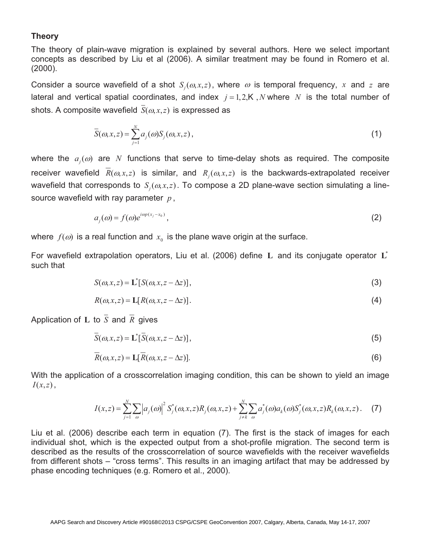# **Theory**

The theory of plain-wave migration is explained by several authors. Here we select important concepts as described by Liu et al (2006). A similar treatment may be found in Romero et al. (2000).

Consider a source wavefield of a shot  $S_i(\omega, x, z)$ , where  $\omega$  is temporal frequency, x and z are lateral and vertical spatial coordinates, and index  $j = 1,2,K,N$  where N is the total number of shots. A composite wavefield  $\overline{S}(\omega, x, z)$  is expressed as

$$
\overline{S}(\omega, x, z) = \sum_{j=1}^{N} a_j(\omega) S_j(\omega, x, z), \qquad (1)
$$

where the  $a_j(\omega)$  are N functions that serve to time-delay shots as required. The composite receiver wavefield  $\bar{R}(\omega, x, z)$  is similar, and  $R_i(\omega, x, z)$  is the backwards-extrapolated receiver wavefield that corresponds to  $S_i(\omega, x, z)$ . To compose a 2D plane-wave section simulating a linesource wavefield with ray parameter *p* ,

$$
a_i(\omega) = f(\omega)e^{i\omega p(x_j - x_0)}, \tag{2}
$$

where  $f(\omega)$  is a real function and  $x_0$  is the plane wave origin at the surface.

For wavefield extrapolation operators, Liu et al. (2006) define **L** and its conjugate operator **L**\* such that

$$
S(\omega, x, z) = \mathbf{L}^*[S(\omega, x, z - \Delta z)],
$$
\n(3)

$$
R(\omega, x, z) = \mathbf{L}[R(\omega, x, z - \Delta z)].
$$
\n(4)

Application of **L** to  $\overline{S}$  and  $\overline{R}$  gives

$$
\overline{S}(\omega, x, z) = \mathbf{L}^*[\overline{S}(\omega, x, z - \Delta z)],\tag{5}
$$

$$
\overline{R}(\omega, x, z) = \mathbf{L}[\overline{R}(\omega, x, z - \Delta z)].
$$
\n(6)

With the application of a crosscorrelation imaging condition, this can be shown to yield an image *I*(*x*,*z*),

$$
I(x,z) = \sum_{j=1}^{N} \sum_{\omega} \left| a_j(\omega) \right|^2 S_j^*(\omega, x, z) R_j(\omega, x, z) + \sum_{j \neq k}^{N} \sum_{\omega} a_j^*(\omega) a_k(\omega) S_j^*(\omega, x, z) R_k(\omega, x, z).
$$
 (7)

Liu et al. (2006) describe each term in equation (7). The first is the stack of images for each individual shot, which is the expected output from a shot-profile migration. The second term is described as the results of the crosscorrelation of source wavefields with the receiver wavefields from different shots – "cross terms". This results in an imaging artifact that may be addressed by phase encoding techniques (e.g. Romero et al., 2000).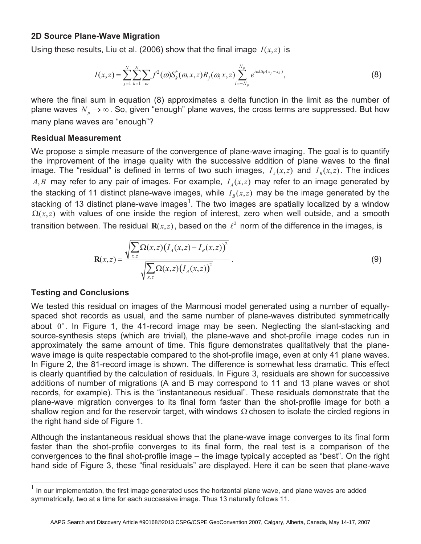# **2D Source Plane-Wave Migration**

Using these results, Liu et al. (2006) show that the final image  $I(x, z)$  is

$$
I(x,z) = \sum_{j=1}^{N} \sum_{k=1}^{N} \sum_{\omega} f^{2}(\omega) S_{k}^{*}(\omega, x, z) R_{j}(\omega, x, z) \sum_{l=-N_{p}}^{N_{p}} e^{i\omega l \Delta p(x_{j}-x_{k})},
$$
(8)

where the final sum in equation (8) approximates a delta function in the limit as the number of plane waves  $N_p \rightarrow \infty$ . So, given "enough" plane waves, the cross terms are suppressed. But how many plane waves are "enough"?

#### **Residual Measurement**

We propose a simple measure of the convergence of plane-wave imaging. The goal is to quantify the improvement of the image quality with the successive addition of plane waves to the final image. The "residual" is defined in terms of two such images,  $I_A(x,z)$  and  $I_B(x,z)$ . The indices  $A, B$  may refer to any pair of images. For example,  $I<sub>A</sub>(x,z)$  may refer to an image generated by the stacking of 11 distinct plane-wave images, while  $I<sub>B</sub>(x,z)$  may be the image generated by the stacking of 13 distinct plane-wave images<sup>1</sup>. The two images are spatially localized by a window  $\Omega(x, z)$  with values of one inside the region of interest, zero when well outside, and a smooth transition between. The residual  $\mathbf{R}(x, z)$ , based on the  $\ell^2$  norm of the difference in the images, is

$$
\mathbf{R}(x,z) = \frac{\sqrt{\sum_{x,z} \Omega(x,z) (I_A(x,z) - I_B(x,z))^2}}{\sqrt{\sum_{x,z} \Omega(x,z) (I_A(x,z))^2}}.
$$
(9)

### **Testing and Conclusions**

 $\overline{a}$ 

We tested this residual on images of the Marmousi model generated using a number of equallyspaced shot records as usual, and the same number of plane-waves distributed symmetrically about  $0^\circ$ . In Figure 1, the 41-record image may be seen. Neglecting the slant-stacking and source-synthesis steps (which are trivial), the plane-wave and shot-profile image codes run in approximately the same amount of time. This figure demonstrates qualitatively that the planewave image is quite respectable compared to the shot-profile image, even at only 41 plane waves. In Figure 2, the 81-record image is shown. The difference is somewhat less dramatic. This effect is clearly quantified by the calculation of residuals. In Figure 3, residuals are shown for successive additions of number of migrations (A and B may correspond to 11 and 13 plane waves or shot records, for example). This is the "instantaneous residual". These residuals demonstrate that the plane-wave migration converges to its final form faster than the shot-profile image for both a shallow region and for the reservoir target, with windows  $\Omega$  chosen to isolate the circled regions in the right hand side of Figure 1.

Although the instantaneous residual shows that the plane-wave image converges to its final form faster than the shot-profile converges to its final form, the real test is a comparison of the convergences to the final shot-profile image – the image typically accepted as "best". On the right hand side of Figure 3, these "final residuals" are displayed. Here it can be seen that plane-wave

In our implementation, the first image generated uses the horizontal plane wave, and plane waves are added symmetrically, two at a time for each successive image. Thus 13 naturally follows 11.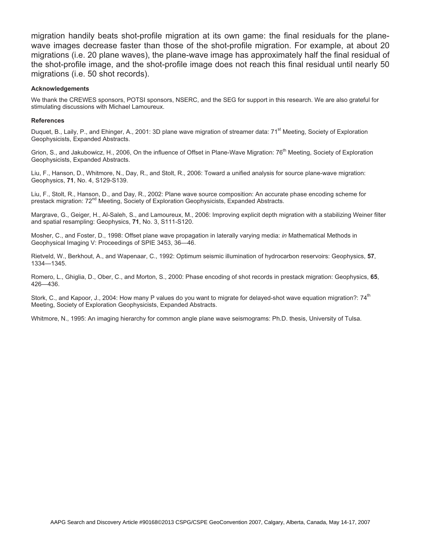migration handily beats shot-profile migration at its own game: the final residuals for the planewave images decrease faster than those of the shot-profile migration. For example, at about 20 migrations (i.e. 20 plane waves), the plane-wave image has approximately half the final residual of the shot-profile image, and the shot-profile image does not reach this final residual until nearly 50 migrations (i.e. 50 shot records).

#### **Acknowledgements**

We thank the CREWES sponsors, POTSI sponsors, NSERC, and the SEG for support in this research. We are also grateful for stimulating discussions with Michael Lamoureux.

#### **References**

Duquet, B., Laily, P., and Ehinger, A., 2001: 3D plane wave migration of streamer data: 71<sup>st</sup> Meeting, Society of Exploration Geophysicists, Expanded Abstracts.

Grion, S., and Jakubowicz, H., 2006. On the influence of Offset in Plane-Wave Migration: 76<sup>th</sup> Meeting, Society of Exploration Geophysicists, Expanded Abstracts.

Liu, F., Hanson, D., Whitmore, N., Day, R., and Stolt, R., 2006: Toward a unified analysis for source plane-wave migration: Geophysics, **71**, No. 4, S129-S139.

Liu, F., Stolt, R., Hanson, D., and Day, R., 2002: Plane wave source composition: An accurate phase encoding scheme for prestack migration:  $72^{nd}$  Meeting, Society of Exploration Geophysicists, Expanded Abstracts.

Margrave, G., Geiger, H., Al-Saleh, S., and Lamoureux, M., 2006: Improving explicit depth migration with a stabilizing Weiner filter and spatial resampling: Geophysics, **71**, No. 3, S111-S120.

Mosher, C., and Foster, D., 1998: Offset plane wave propagation in laterally varying media: *in* Mathematical Methods in Geophysical Imaging V: Proceedings of SPIE 3453, 36—46.

Rietveld, W., Berkhout, A., and Wapenaar, C., 1992: Optimum seismic illumination of hydrocarbon reservoirs: Geophysics, **57**, 1334—1345.

Romero, L., Ghiglia, D., Ober, C., and Morton, S., 2000: Phase encoding of shot records in prestack migration: Geophysics, **65**, 426—436.

Stork, C., and Kapoor, J., 2004: How many P values do you want to migrate for delayed-shot wave equation migration?: 74<sup>th</sup> Meeting, Society of Exploration Geophysicists, Expanded Abstracts.

Whitmore, N., 1995: An imaging hierarchy for common angle plane wave seismograms: Ph.D. thesis, University of Tulsa.